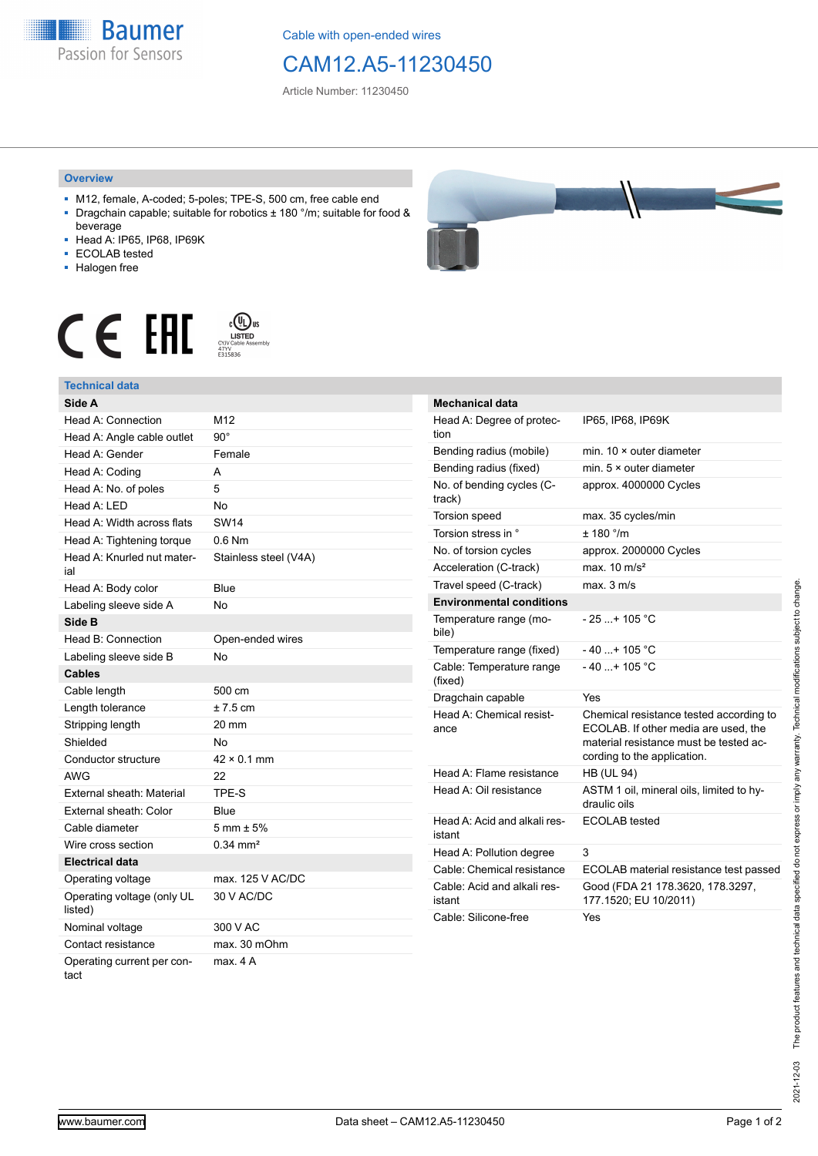**Baumer** Passion for Sensors

Cable with open-ended wires

## CAM12.A5-11230450

Article Number: 11230450

## **Overview**

- M12, female, A-coded; 5-poles; TPE-S, 500 cm, free cable end ■ Dragchain capable; suitable for robotics ± 180 °/m; suitable for food &
- beverage ■ Head A: IP65, IP68, IP69K
- ECOLAB tested
- 
- Halogen free





| Technical data                        |                        |
|---------------------------------------|------------------------|
| Side A                                |                        |
| Head A: Connection                    | M12                    |
| Head A: Angle cable outlet            | $90^{\circ}$           |
| Head A: Gender                        | Female                 |
| Head A: Coding                        | A                      |
| Head A: No. of poles                  | 5                      |
| Head A: LED                           | <b>No</b>              |
| Head A: Width across flats            | <b>SW14</b>            |
| Head A: Tightening torque             | $0.6$ Nm               |
| Head A: Knurled nut mater-<br>ial     | Stainless steel (V4A)  |
| Head A: Body color                    | Blue                   |
| Labeling sleeve side A                | N٥                     |
| Side B                                |                        |
| Head B: Connection                    | Open-ended wires       |
| Labeling sleeve side B                | No                     |
| Cables                                |                        |
| Cable length                          | 500 cm                 |
| Length tolerance                      | $± 7.5$ cm             |
| Stripping length                      | 20 mm                  |
| Shielded                              | Nο                     |
| Conductor structure                   | $42 \times 0.1$ mm     |
| <b>AWG</b>                            | 22                     |
| External sheath: Material             | TPE-S                  |
| External sheath: Color                | Blue                   |
| Cable diameter                        | $5 \text{ mm} \pm 5\%$ |
| Wire cross section                    | $0.34$ mm <sup>2</sup> |
| <b>Electrical data</b>                |                        |
| Operating voltage                     | max. 125 V AC/DC       |
| Operating voltage (only UL<br>listed) | 30 V AC/DC             |
| Nominal voltage                       | 300 V AC               |
| Contact resistance                    | max. 30 mOhm           |
| Operating current per con-<br>tact    | max. 4 A               |



| Mechanical data                        |                                                                                                                                                          |
|----------------------------------------|----------------------------------------------------------------------------------------------------------------------------------------------------------|
| Head A: Degree of protec-<br>tion      | IP65, IP68, IP69K                                                                                                                                        |
| Bending radius (mobile)                | min. $10 \times$ outer diameter                                                                                                                          |
| Bending radius (fixed)                 | min. $5 \times$ outer diameter                                                                                                                           |
| No. of bending cycles (C-<br>track)    | approx. 4000000 Cycles                                                                                                                                   |
| Torsion speed                          | max. 35 cycles/min                                                                                                                                       |
| Torsion stress in °                    | ± 180 °/m                                                                                                                                                |
| No. of torsion cycles                  | approx. 2000000 Cycles                                                                                                                                   |
| Acceleration (C-track)                 | max. $10 \text{ m/s}^2$                                                                                                                                  |
| Travel speed (C-track)                 | max. 3 m/s                                                                                                                                               |
| <b>Environmental conditions</b>        |                                                                                                                                                          |
| Temperature range (mo-<br>bile)        | $-25+105$ °C                                                                                                                                             |
| Temperature range (fixed)              | $-40$ + 105 °C                                                                                                                                           |
| Cable: Temperature range<br>(fixed)    | $-40+105 °C$                                                                                                                                             |
| Dragchain capable                      | Yes                                                                                                                                                      |
| Head A: Chemical resist-<br>ance       | Chemical resistance tested according to<br>ECOLAB. If other media are used, the<br>material resistance must be tested ac-<br>cording to the application. |
| Head A: Flame resistance               | <b>HB (UL 94)</b>                                                                                                                                        |
| Head A: Oil resistance                 | ASTM 1 oil, mineral oils, limited to hy-<br>draulic oils                                                                                                 |
| Head A: Acid and alkali res-<br>istant | <b>ECOLAB</b> tested                                                                                                                                     |
| Head A: Pollution degree               | 3                                                                                                                                                        |
| Cable: Chemical resistance             | ECOLAB material resistance test passed                                                                                                                   |
| Cable: Acid and alkali res-<br>istant  | Good (FDA 21 178.3620, 178.3297,<br>177.1520; EU 10/2011)                                                                                                |
| Cable: Silicone-free                   | Yes                                                                                                                                                      |